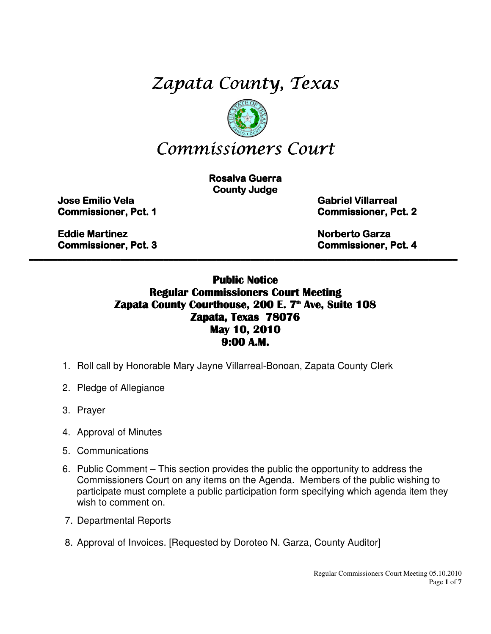# Zapata County, Texas



**Rosalva Guerra County Judge** 

Jose Emilio Vela Jose Emilio Vela Emilio Vela Gabriel Villarreal Gabriel Villarreal Villarreal

Eddie Martinez Eddie Martinez Martinez Norberto Garza Garza Garza

Commissioner, Pct. 1 Commissioner, Pct. 11 Commissioner, Pct. 2 Commissioner, Pct. 22

Commissioner, Pct. 3 Commissioner, Pct. 4

#### Public Notice Regular Commissioners Court Meeting Zapata County Courthouse, 200 E. 7<sup>th</sup> Ave, Suite 108 Zapata, Texas 78076 May 10, 2010 9:00 A.M.

 $\_$  , and the contribution of the contribution of the contribution of the contribution of the contribution of  $\mathcal{L}_\text{max}$ 

- 1. Roll call by Honorable Mary Jayne Villarreal-Bonoan, Zapata County Clerk
- 2. Pledge of Allegiance
- 3. Prayer
- 4. Approval of Minutes
- 5. Communications
- 6. Public Comment This section provides the public the opportunity to address the Commissioners Court on any items on the Agenda. Members of the public wishing to participate must complete a public participation form specifying which agenda item they wish to comment on.
- 7. Departmental Reports
- 8. Approval of Invoices. [Requested by Doroteo N. Garza, County Auditor]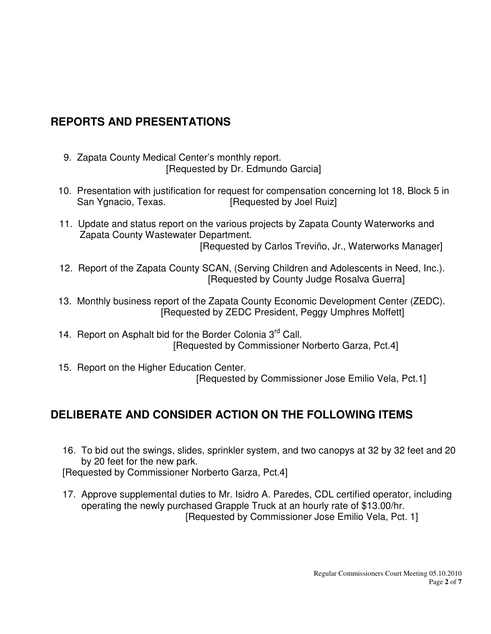## **REPORTS AND PRESENTATIONS**

- 9. Zapata County Medical Center's monthly report. [Requested by Dr. Edmundo Garcia]
- 10. Presentation with justification for request for compensation concerning lot 18, Block 5 in San Ygnacio, Texas. [Requested by Joel Ruiz]
- 11. Update and status report on the various projects by Zapata County Waterworks and Zapata County Wastewater Department. [Requested by Carlos Treviño, Jr., Waterworks Manager]
- 12. Report of the Zapata County SCAN, (Serving Children and Adolescents in Need, Inc.). [Requested by County Judge Rosalva Guerra]
- 13. Monthly business report of the Zapata County Economic Development Center (ZEDC). [Requested by ZEDC President, Peggy Umphres Moffett]
- 14. Report on Asphalt bid for the Border Colonia 3<sup>rd</sup> Call. [Requested by Commissioner Norberto Garza, Pct.4]
- 15. Report on the Higher Education Center. [Requested by Commissioner Jose Emilio Vela, Pct.1]

# **DELIBERATE AND CONSIDER ACTION ON THE FOLLOWING ITEMS**

16. To bid out the swings, slides, sprinkler system, and two canopys at 32 by 32 feet and 20 by 20 feet for the new park.

[Requested by Commissioner Norberto Garza, Pct.4]

17. Approve supplemental duties to Mr. Isidro A. Paredes, CDL certified operator, including operating the newly purchased Grapple Truck at an hourly rate of \$13.00/hr. [Requested by Commissioner Jose Emilio Vela, Pct. 1]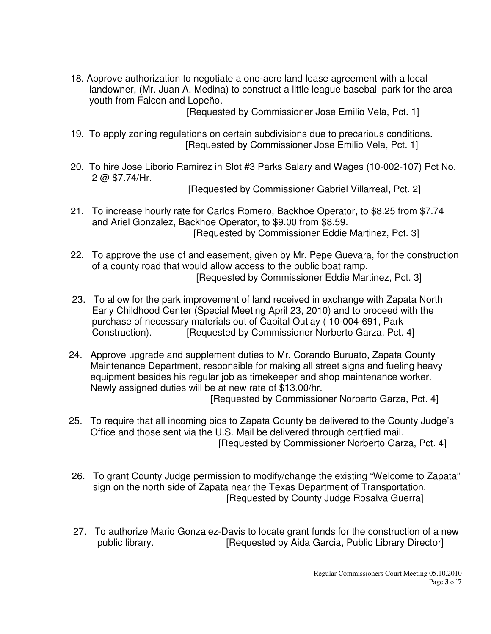18. Approve authorization to negotiate a one-acre land lease agreement with a local landowner, (Mr. Juan A. Medina) to construct a little league baseball park for the area youth from Falcon and Lopeño.

[Requested by Commissioner Jose Emilio Vela, Pct. 1]

- 19. To apply zoning regulations on certain subdivisions due to precarious conditions. [Requested by Commissioner Jose Emilio Vela, Pct. 1]
- 20. To hire Jose Liborio Ramirez in Slot #3 Parks Salary and Wages (10-002-107) Pct No. 2 @ \$7.74/Hr.

[Requested by Commissioner Gabriel Villarreal, Pct. 2]

- 21. To increase hourly rate for Carlos Romero, Backhoe Operator, to \$8.25 from \$7.74 and Ariel Gonzalez, Backhoe Operator, to \$9.00 from \$8.59. [Requested by Commissioner Eddie Martinez, Pct. 3]
- 22. To approve the use of and easement, given by Mr. Pepe Guevara, for the construction of a county road that would allow access to the public boat ramp. [Requested by Commissioner Eddie Martinez, Pct. 3]
- 23. To allow for the park improvement of land received in exchange with Zapata North Early Childhood Center (Special Meeting April 23, 2010) and to proceed with the purchase of necessary materials out of Capital Outlay ( 10-004-691, Park Construction). [Requested by Commissioner Norberto Garza, Pct. 4]
- 24. Approve upgrade and supplement duties to Mr. Corando Buruato, Zapata County Maintenance Department, responsible for making all street signs and fueling heavy equipment besides his regular job as timekeeper and shop maintenance worker. Newly assigned duties will be at new rate of \$13.00/hr.

[Requested by Commissioner Norberto Garza, Pct. 4]

- 25. To require that all incoming bids to Zapata County be delivered to the County Judge's Office and those sent via the U.S. Mail be delivered through certified mail. [Requested by Commissioner Norberto Garza, Pct. 4]
- 26. To grant County Judge permission to modify/change the existing "Welcome to Zapata" sign on the north side of Zapata near the Texas Department of Transportation. [Requested by County Judge Rosalva Guerra]
- 27. To authorize Mario Gonzalez-Davis to locate grant funds for the construction of a new public library. [Requested by Aida Garcia, Public Library Director]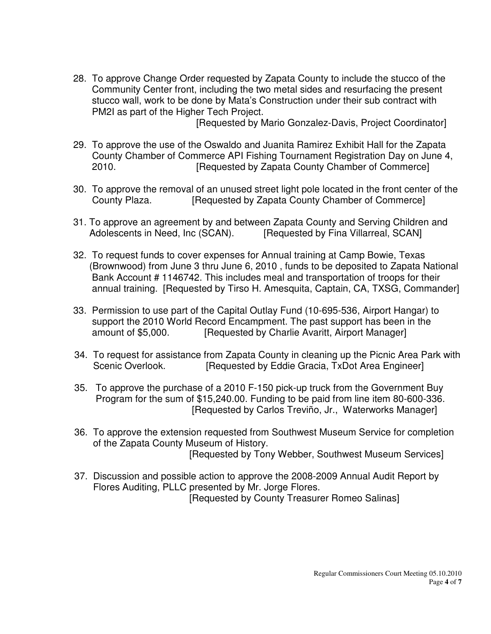28. To approve Change Order requested by Zapata County to include the stucco of the Community Center front, including the two metal sides and resurfacing the present stucco wall, work to be done by Mata's Construction under their sub contract with PM2I as part of the Higher Tech Project.

[Requested by Mario Gonzalez-Davis, Project Coordinator]

- 29. To approve the use of the Oswaldo and Juanita Ramirez Exhibit Hall for the Zapata County Chamber of Commerce API Fishing Tournament Registration Day on June 4, 2010. [Requested by Zapata County Chamber of Commerce]
- 30. To approve the removal of an unused street light pole located in the front center of the County Plaza. [Requested by Zapata County Chamber of Commerce]
- 31. To approve an agreement by and between Zapata County and Serving Children and Adolescents in Need, Inc (SCAN). [Requested by Fina Villarreal, SCAN]
- 32. To request funds to cover expenses for Annual training at Camp Bowie, Texas (Brownwood) from June 3 thru June 6, 2010 , funds to be deposited to Zapata National Bank Account # 1146742. This includes meal and transportation of troops for their annual training. [Requested by Tirso H. Amesquita, Captain, CA, TXSG, Commander]
- 33. Permission to use part of the Capital Outlay Fund (10-695-536, Airport Hangar) to support the 2010 World Record Encampment. The past support has been in the amount of \$5,000. [Requested by Charlie Avaritt, Airport Manager]
- 34. To request for assistance from Zapata County in cleaning up the Picnic Area Park with Scenic Overlook. [Requested by Eddie Gracia, TxDot Area Engineer]
- 35. To approve the purchase of a 2010 F-150 pick-up truck from the Government Buy Program for the sum of \$15,240.00. Funding to be paid from line item 80-600-336. [Requested by Carlos Treviño, Jr., Waterworks Manager]
- 36. To approve the extension requested from Southwest Museum Service for completion of the Zapata County Museum of History. [Requested by Tony Webber, Southwest Museum Services]
- 37. Discussion and possible action to approve the 2008-2009 Annual Audit Report by Flores Auditing, PLLC presented by Mr. Jorge Flores. [Requested by County Treasurer Romeo Salinas]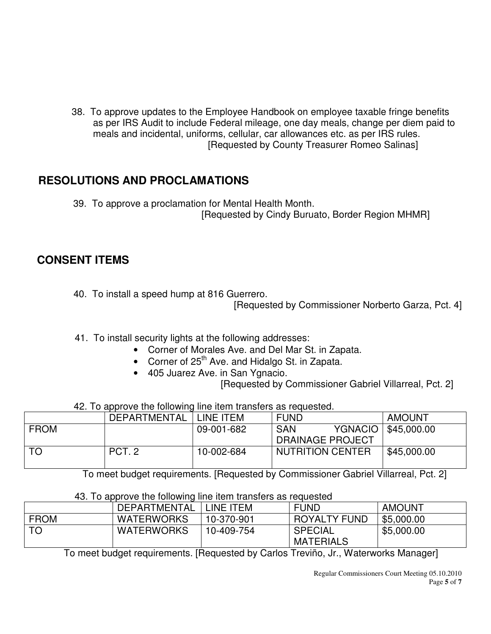38. To approve updates to the Employee Handbook on employee taxable fringe benefits as per IRS Audit to include Federal mileage, one day meals, change per diem paid to meals and incidental, uniforms, cellular, car allowances etc. as per IRS rules. [Requested by County Treasurer Romeo Salinas]

### **RESOLUTIONS AND PROCLAMATIONS**

 39. To approve a proclamation for Mental Health Month. [Requested by Cindy Buruato, Border Region MHMR]

### **CONSENT ITEMS**

40. To install a speed hump at 816 Guerrero.

[Requested by Commissioner Norberto Garza, Pct. 4]

- 41. To install security lights at the following addresses:
	- Corner of Morales Ave. and Del Mar St. in Zapata.
	- Corner of 25<sup>th</sup> Ave. and Hidalgo St. in Zapata.
	- 405 Juarez Ave. in San Ygnacio.

[Requested by Commissioner Gabriel Villarreal, Pct. 2]

42. To approve the following line item transfers as requested.

|             | <b>DEPARTMENTAL</b> | LINE ITEM  | <b>FUND</b>                  | <b>AMOUNT</b>       |
|-------------|---------------------|------------|------------------------------|---------------------|
| <b>FROM</b> |                     | 09-001-682 | <b>YGNACIO</b><br><b>SAN</b> | $\vert$ \$45,000.00 |
|             |                     |            | <b>DRAINAGE PROJECT</b>      |                     |
|             | PCT <sub>.2</sub>   | 10-002-684 | <b>NUTRITION CENTER</b>      | \$45,000.00         |
|             |                     |            |                              |                     |

To meet budget requirements. [Requested by Commissioner Gabriel Villarreal, Pct. 2]

|             | <b>DEPARTMENTAL</b> | INE ITEM   | <b>FUND</b>                        | <b>AMOUNT</b> |
|-------------|---------------------|------------|------------------------------------|---------------|
| <b>FROM</b> | <b>WATERWORKS</b>   | 10-370-901 | <b>ROYALTY FUND</b>                | \$5,000.00    |
|             | <b>WATERWORKS</b>   | 10-409-754 | <b>SPECIAL</b><br><b>MATERIALS</b> | \$5,000.00    |

43. To approve the following line item transfers as requested

To meet budget requirements. [Requested by Carlos Treviño, Jr., Waterworks Manager]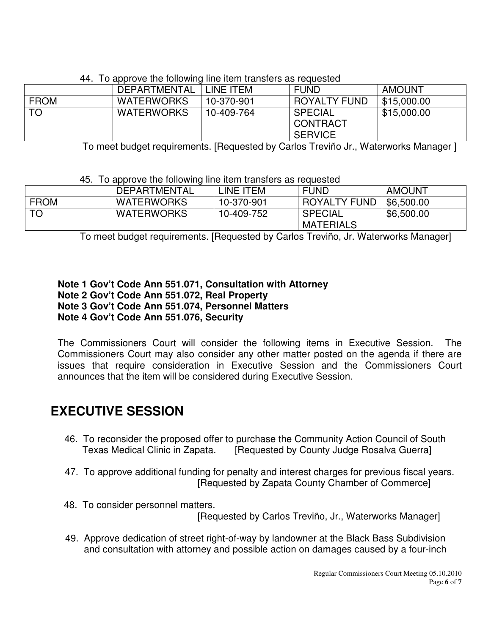|             | DEPARTMENTAL      | LINE ITEM  | <b>FUND</b>                                  | <b>AMOUNT</b> |
|-------------|-------------------|------------|----------------------------------------------|---------------|
| <b>FROM</b> | <b>WATERWORKS</b> | 10-370-901 | <b>ROYALTY FUND</b>                          | \$15,000.00   |
| <b>TO</b>   | <b>WATERWORKS</b> | 10-409-764 | <b>SPECIAL</b><br>CONTRACT<br><b>SERVICE</b> | \$15,000.00   |
|             |                   |            |                                              |               |

#### 44. To approve the following line item transfers as requested

To meet budget requirements. [Requested by Carlos Treviño Jr., Waterworks Manager ]

#### 45. To approve the following line item transfers as requested

|             | <b>DEPARTMENTAL</b> | INE ITEM-  | <b>FUND</b>                        | <b>AMOUNT</b> |
|-------------|---------------------|------------|------------------------------------|---------------|
| <b>FROM</b> | <b>WATERWORKS</b>   | 10-370-901 | ROYALTY FUND                       | \$6,500.00    |
| TO          | <b>WATERWORKS</b>   | 10-409-752 | <b>SPECIAL</b><br><b>MATERIALS</b> | \$6,500.00    |

To meet budget requirements. [Requested by Carlos Treviño, Jr. Waterworks Manager]

#### **Note 1 Gov't Code Ann 551.071, Consultation with Attorney Note 2 Gov't Code Ann 551.072, Real Property Note 3 Gov't Code Ann 551.074, Personnel Matters Note 4 Gov't Code Ann 551.076, Security**

The Commissioners Court will consider the following items in Executive Session. The Commissioners Court may also consider any other matter posted on the agenda if there are issues that require consideration in Executive Session and the Commissioners Court announces that the item will be considered during Executive Session.

# **EXECUTIVE SESSION**

- 46. To reconsider the proposed offer to purchase the Community Action Council of South [Requested by County Judge Rosalva Guerra].
- 47. To approve additional funding for penalty and interest charges for previous fiscal years. [Requested by Zapata County Chamber of Commerce]
- 48. To consider personnel matters.

[Requested by Carlos Treviño, Jr., Waterworks Manager]

 49. Approve dedication of street right-of-way by landowner at the Black Bass Subdivision and consultation with attorney and possible action on damages caused by a four-inch